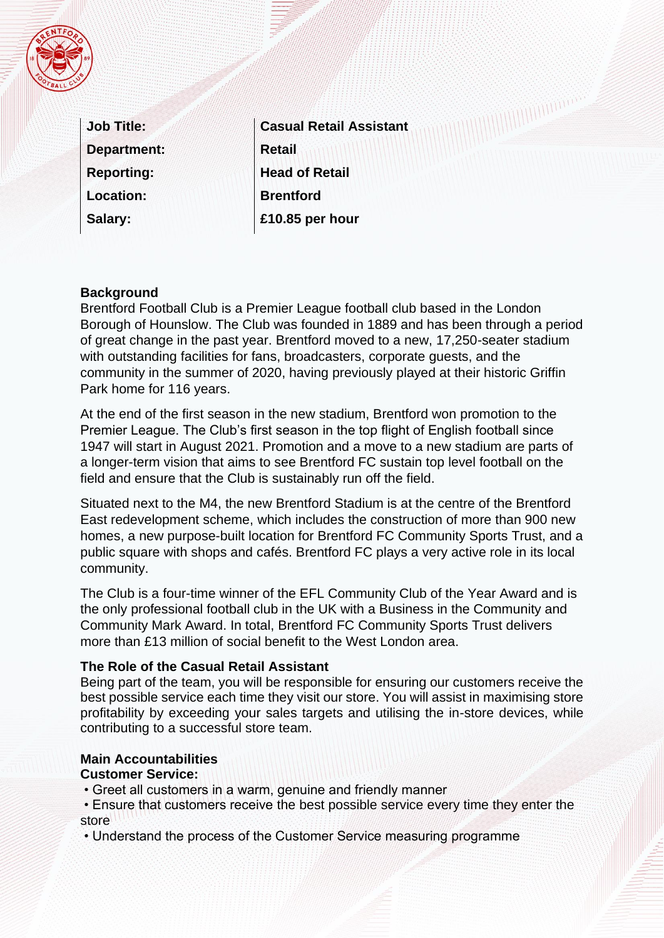

| <b>Job Title:</b>  |
|--------------------|
| <b>Department:</b> |
| <b>Reporting:</b>  |
| <b>Location:</b>   |
| Salary:            |

**Casual Retail Assistant Retail Head of Retail Brentford £10.85 per hour** 

### **Background**

Brentford Football Club is a Premier League football club based in the London Borough of Hounslow. The Club was founded in 1889 and has been through a period of great change in the past year. Brentford moved to a new, 17,250-seater stadium with outstanding facilities for fans, broadcasters, corporate guests, and the community in the summer of 2020, having previously played at their historic Griffin Park home for 116 years.

At the end of the first season in the new stadium, Brentford won promotion to the Premier League. The Club's first season in the top flight of English football since 1947 will start in August 2021. Promotion and a move to a new stadium are parts of a longer-term vision that aims to see Brentford FC sustain top level football on the field and ensure that the Club is sustainably run off the field.

Situated next to the M4, the new Brentford Stadium is at the centre of the Brentford East redevelopment scheme, which includes the construction of more than 900 new homes, a new purpose-built location for Brentford FC Community Sports Trust, and a public square with shops and cafés. Brentford FC plays a very active role in its local community.

The Club is a four-time winner of the EFL Community Club of the Year Award and is the only professional football club in the UK with a Business in the Community and Community Mark Award. In total, Brentford FC Community Sports Trust delivers more than £13 million of social benefit to the West London area.

#### **The Role of the Casual Retail Assistant**

Being part of the team, you will be responsible for ensuring our customers receive the best possible service each time they visit our store. You will assist in maximising store profitability by exceeding your sales targets and utilising the in-store devices, while contributing to a successful store team.

#### **Main Accountabilities**

#### **Customer Service:**

- Greet all customers in a warm, genuine and friendly manner
- Ensure that customers receive the best possible service every time they enter the store
- Understand the process of the Customer Service measuring programme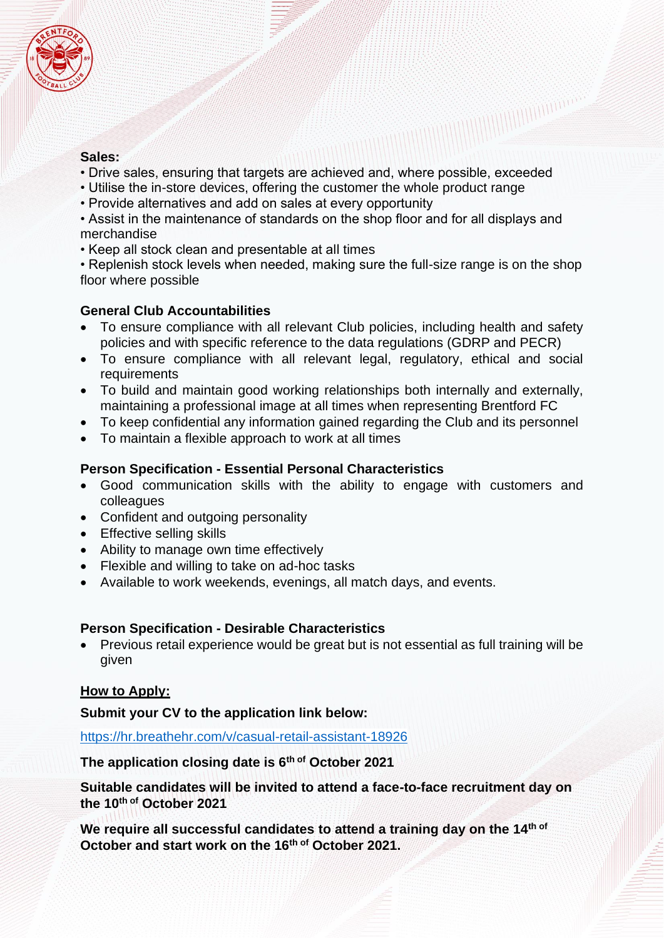

### **Sales:**

• Drive sales, ensuring that targets are achieved and, where possible, exceeded

- Utilise the in-store devices, offering the customer the whole product range
- Provide alternatives and add on sales at every opportunity
- Assist in the maintenance of standards on the shop floor and for all displays and merchandise
- Keep all stock clean and presentable at all times
- Replenish stock levels when needed, making sure the full-size range is on the shop floor where possible

## **General Club Accountabilities**

- To ensure compliance with all relevant Club policies, including health and safety policies and with specific reference to the data regulations (GDRP and PECR)
- To ensure compliance with all relevant legal, regulatory, ethical and social requirements
- To build and maintain good working relationships both internally and externally, maintaining a professional image at all times when representing Brentford FC
- To keep confidential any information gained regarding the Club and its personnel
- To maintain a flexible approach to work at all times

## **Person Specification - Essential Personal Characteristics**

- Good communication skills with the ability to engage with customers and colleagues
- Confident and outgoing personality
- Effective selling skills
- Ability to manage own time effectively
- Flexible and willing to take on ad-hoc tasks
- Available to work weekends, evenings, all match days, and events.

### **Person Specification - Desirable Characteristics**

• Previous retail experience would be great but is not essential as full training will be given

# **How to Apply:**

**Submit your CV to the application link below:** 

<https://hr.breathehr.com/v/casual-retail-assistant-18926>

**The application closing date is 6th of October 2021** 

**Suitable candidates will be invited to attend a face-to-face recruitment day on the 10th of October 2021**

**We require all successful candidates to attend a training day on the 14th of October and start work on the 16th of October 2021.**